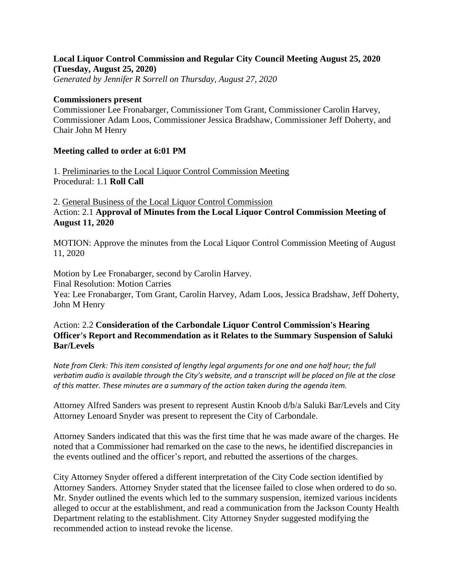## **Local Liquor Control Commission and Regular City Council Meeting August 25, 2020 (Tuesday, August 25, 2020)**

*Generated by Jennifer R Sorrell on Thursday, August 27, 2020*

#### **Commissioners present**

Commissioner Lee Fronabarger, Commissioner Tom Grant, Commissioner Carolin Harvey, Commissioner Adam Loos, Commissioner Jessica Bradshaw, Commissioner Jeff Doherty, and Chair John M Henry

### **Meeting called to order at 6:01 PM**

1. Preliminaries to the Local Liquor Control Commission Meeting Procedural: 1.1 **Roll Call**

2. General Business of the Local Liquor Control Commission Action: 2.1 **Approval of Minutes from the Local Liquor Control Commission Meeting of August 11, 2020**

MOTION: Approve the minutes from the Local Liquor Control Commission Meeting of August 11, 2020

Motion by Lee Fronabarger, second by Carolin Harvey.

Final Resolution: Motion Carries

Yea: Lee Fronabarger, Tom Grant, Carolin Harvey, Adam Loos, Jessica Bradshaw, Jeff Doherty, John M Henry

#### Action: 2.2 **Consideration of the Carbondale Liquor Control Commission's Hearing Officer's Report and Recommendation as it Relates to the Summary Suspension of Saluki Bar/Levels**

*Note from Clerk: This item consisted of lengthy legal arguments for one and one half hour; the full verbatim audio is available through the City's website, and a transcript will be placed on file at the close of this matter. These minutes are a summary of the action taken during the agenda item.*

Attorney Alfred Sanders was present to represent Austin Knoob d/b/a Saluki Bar/Levels and City Attorney Lenoard Snyder was present to represent the City of Carbondale.

Attorney Sanders indicated that this was the first time that he was made aware of the charges. He noted that a Commissioner had remarked on the case to the news, he identified discrepancies in the events outlined and the officer's report, and rebutted the assertions of the charges.

City Attorney Snyder offered a different interpretation of the City Code section identified by Attorney Sanders. Attorney Snyder stated that the licensee failed to close when ordered to do so. Mr. Snyder outlined the events which led to the summary suspension, itemized various incidents alleged to occur at the establishment, and read a communication from the Jackson County Health Department relating to the establishment. City Attorney Snyder suggested modifying the recommended action to instead revoke the license.